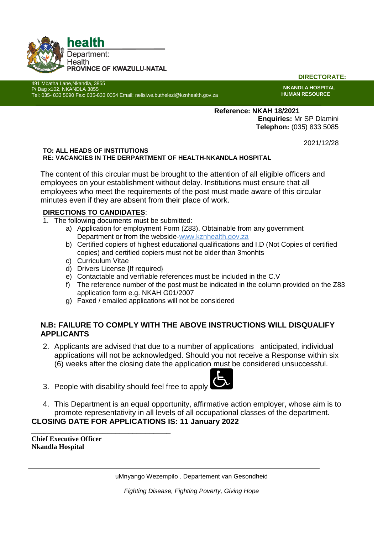

491 Mbatha Lane,Nkandla, 3855 P/ Bag x102, NKANDLA 3855

**DIRECTORATE:**

**NKANDLA HOSPITAL HUMAN RESOURCE**

**Reference: NKAH 18/2021 Enquiries:** Mr SP Dlamini **Telephon:** (035) 833 5085

2021/12/28

#### **TO: ALL HEADS OF INSTITUTIONS RE: VACANCIES IN THE DERPARTMENT OF HEALTH-NKANDLA HOSPITAL**

The content of this circular must be brought to the attention of all eligible officers and employees on your establishment without delay. Institutions must ensure that all employees who meet the requirements of the post must made aware of this circular minutes even if they are absent from their place of work.

# **DIRECTIONS TO CANDIDATES**:

1. The following documents must be submitted:

Tel: 035- 833 5090 Fax: 035-833 0054 Email: nelisiwe.buthelezi@kznhealth.gov.za

- a) Application for employment Form (Z83). Obtainable from any government Department or from the webside-www.kznhealth.gov.za
- b) Certified copiers of highest educational qualifications and I.D (Not Copies of certified copies) and certified copiers must not be older than 3monhts
- c) Curriculum Vitae
- d) Drivers License {If required}
- e) Contactable and verifiable references must be included in the C.V
- f) The reference number of the post must be indicated in the column provided on the Z83 application form e.g. NKAH G01/2007
- g) Faxed / emailed applications will not be considered

# **N.B: FAILURE TO COMPLY WITH THE ABOVE INSTRUCTIONS WILL DISQUALIFY APPLICANTS**

- 2. Applicants are advised that due to a number of applications anticipated, individual applications will not be acknowledged. Should you not receive a Response within six (6) weeks after the closing date the application must be considered unsuccessful.
- 3. People with disability should feel free to apply

*\_\_\_\_\_\_\_\_\_\_\_\_\_\_\_\_\_\_\_\_\_\_\_\_\_\_\_\_\_\_\_\_\_*



4. This Department is an equal opportunity, affirmative action employer, whose aim is to promote representativity in all levels of all occupational classes of the department. **CLOSING DATE FOR APPLICATIONS IS: 11 January 2022**

**Chief Executive Officer Nkandla Hospital**

uMnyango Wezempilo . Departement van Gesondheid

*Fighting Disease, Fighting Poverty, Giving Hope*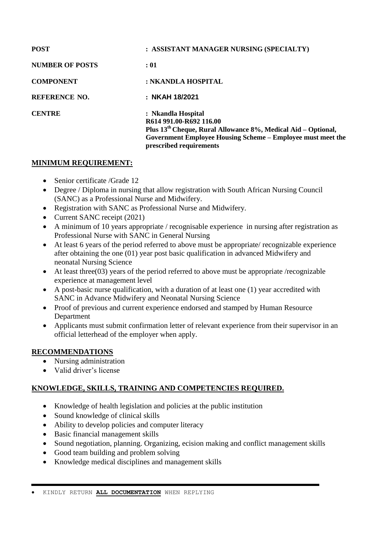| <b>POST</b>            | : ASSISTANT MANAGER NURSING (SPECIALTY)                                                                                                                                                                    |
|------------------------|------------------------------------------------------------------------------------------------------------------------------------------------------------------------------------------------------------|
| <b>NUMBER OF POSTS</b> | : 01                                                                                                                                                                                                       |
| <b>COMPONENT</b>       | : NKANDLA HOSPITAL                                                                                                                                                                                         |
| <b>REFERENCE NO.</b>   | : NKAH 18/2021                                                                                                                                                                                             |
| <b>CENTRE</b>          | : Nkandla Hospital<br>R614 991.00-R692 116.00<br>Plus $13th$ Cheque, Rural Allowance 8%, Medical Aid – Optional,<br>Government Employee Housing Scheme – Employee must meet the<br>prescribed requirements |

## **MINIMUM REQUIREMENT:**

- Senior certificate /Grade 12
- Degree / Diploma in nursing that allow registration with South African Nursing Council (SANC) as a Professional Nurse and Midwifery.
- Registration with SANC as Professional Nurse and Midwifery.
- Current SANC receipt (2021)
- A minimum of 10 years appropriate / recognisable experience in nursing after registration as Professional Nurse with SANC in General Nursing
- At least 6 years of the period referred to above must be appropriate/ recognizable experience after obtaining the one (01) year post basic qualification in advanced Midwifery and neonatal Nursing Science
- At least three(03) years of the period referred to above must be appropriate /recognizable experience at management level
- A post-basic nurse qualification, with a duration of at least one (1) year accredited with SANC in Advance Midwifery and Neonatal Nursing Science
- Proof of previous and current experience endorsed and stamped by Human Resource Department
- Applicants must submit confirmation letter of relevant experience from their supervisor in an official letterhead of the employer when apply.

## **RECOMMENDATIONS**

- Nursing administration
- Valid driver's license

# **KNOWLEDGE, SKILLS, TRAINING AND COMPETENCIES REQUIRED.**

- Knowledge of health legislation and policies at the public institution
- Sound knowledge of clinical skills
- Ability to develop policies and computer literacy
- Basic financial management skills
- Sound negotiation, planning. Organizing, ecision making and conflict management skills
- Good team building and problem solving
- Knowledge medical disciplines and management skills